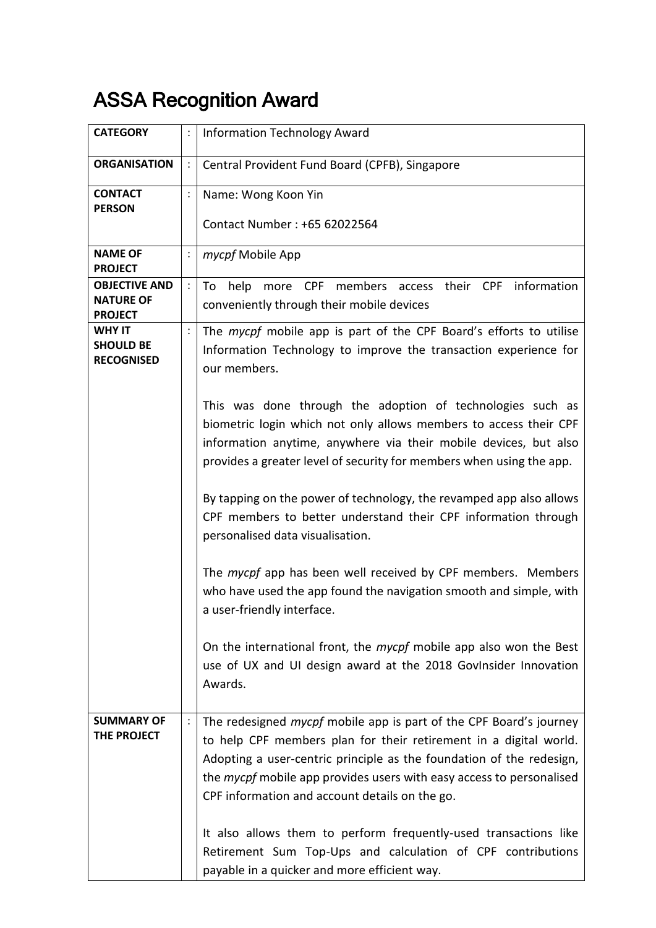## ASSA Recognition Award

| <b>CATEGORY</b>                                            | $\ddot{\cdot}$ | <b>Information Technology Award</b>                                                                                                                                                                                                                                                                                                                                                                                         |
|------------------------------------------------------------|----------------|-----------------------------------------------------------------------------------------------------------------------------------------------------------------------------------------------------------------------------------------------------------------------------------------------------------------------------------------------------------------------------------------------------------------------------|
| <b>ORGANISATION</b>                                        | $\ddot{\cdot}$ | Central Provident Fund Board (CPFB), Singapore                                                                                                                                                                                                                                                                                                                                                                              |
| <b>CONTACT</b><br><b>PERSON</b>                            | $\vdots$       | Name: Wong Koon Yin                                                                                                                                                                                                                                                                                                                                                                                                         |
|                                                            |                | Contact Number: +65 62022564                                                                                                                                                                                                                                                                                                                                                                                                |
| <b>NAME OF</b><br><b>PROJECT</b>                           | $\ddot{\cdot}$ | mycpf Mobile App                                                                                                                                                                                                                                                                                                                                                                                                            |
| <b>OBJECTIVE AND</b><br><b>NATURE OF</b><br><b>PROJECT</b> | $\ddot{\cdot}$ | more CPF members access their CPF information<br>To<br>help<br>conveniently through their mobile devices                                                                                                                                                                                                                                                                                                                    |
| <b>WHY IT</b><br><b>SHOULD BE</b><br><b>RECOGNISED</b>     |                | The mycpf mobile app is part of the CPF Board's efforts to utilise<br>Information Technology to improve the transaction experience for<br>our members.                                                                                                                                                                                                                                                                      |
|                                                            |                | This was done through the adoption of technologies such as<br>biometric login which not only allows members to access their CPF<br>information anytime, anywhere via their mobile devices, but also<br>provides a greater level of security for members when using the app.                                                                                                                                                 |
|                                                            |                | By tapping on the power of technology, the revamped app also allows<br>CPF members to better understand their CPF information through<br>personalised data visualisation.                                                                                                                                                                                                                                                   |
|                                                            |                | The mycpf app has been well received by CPF members. Members<br>who have used the app found the navigation smooth and simple, with<br>a user-friendly interface.                                                                                                                                                                                                                                                            |
|                                                            |                | On the international front, the mycpf mobile app also won the Best<br>use of UX and UI design award at the 2018 GovInsider Innovation<br>Awards.                                                                                                                                                                                                                                                                            |
| <b>SUMMARY OF</b><br>THE PROJECT                           |                | The redesigned <i>mycpf</i> mobile app is part of the CPF Board's journey<br>to help CPF members plan for their retirement in a digital world.<br>Adopting a user-centric principle as the foundation of the redesign,<br>the <i>mycpf</i> mobile app provides users with easy access to personalised<br>CPF information and account details on the go.<br>It also allows them to perform frequently-used transactions like |
|                                                            |                | Retirement Sum Top-Ups and calculation of CPF contributions<br>payable in a quicker and more efficient way.                                                                                                                                                                                                                                                                                                                 |